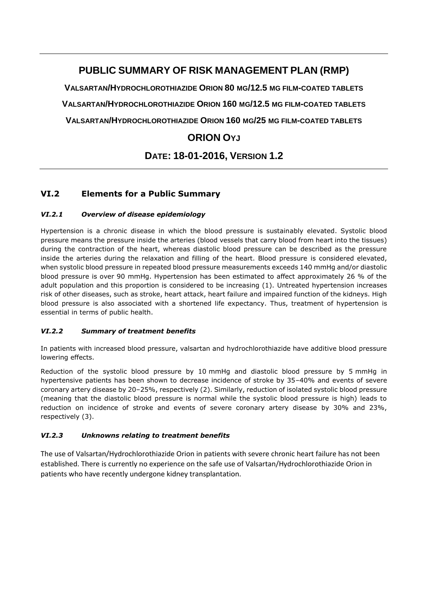# **PUBLIC SUMMARY OF RISK MANAGEMENT PLAN (RMP)**

**VALSARTAN/HYDROCHLOROTHIAZIDE ORION 80 MG/12.5 MG FILM-COATED TABLETS VALSARTAN/HYDROCHLOROTHIAZIDE ORION 160 MG/12.5 MG FILM-COATED TABLETS VALSARTAN/HYDROCHLOROTHIAZIDE ORION 160 MG/25 MG FILM-COATED TABLETS**

## **ORION OYJ**

# **DATE: 18-01-2016, VERSION 1.2**

## **VI.2 Elements for a Public Summary**

### *VI.2.1 Overview of disease epidemiology*

Hypertension is a chronic disease in which the blood pressure is sustainably elevated. Systolic blood pressure means the pressure inside the arteries (blood vessels that carry blood from heart into the tissues) during the contraction of the heart, whereas diastolic blood pressure can be described as the pressure inside the arteries during the relaxation and filling of the heart. Blood pressure is considered elevated, when systolic blood pressure in repeated blood pressure measurements exceeds 140 mmHg and/or diastolic blood pressure is over 90 mmHg. Hypertension has been estimated to affect approximately 26 % of the adult population and this proportion is considered to be increasing (1). Untreated hypertension increases risk of other diseases, such as stroke, heart attack, heart failure and impaired function of the kidneys. High blood pressure is also associated with a shortened life expectancy. Thus, treatment of hypertension is essential in terms of public health.

### *VI.2.2 Summary of treatment benefits*

In patients with increased blood pressure, valsartan and hydrochlorothiazide have additive blood pressure lowering effects.

Reduction of the systolic blood pressure by 10 mmHg and diastolic blood pressure by 5 mmHg in hypertensive patients has been shown to decrease incidence of stroke by 35–40% and events of severe coronary artery disease by 20–25%, respectively (2). Similarly, reduction of isolated systolic blood pressure (meaning that the diastolic blood pressure is normal while the systolic blood pressure is high) leads to reduction on incidence of stroke and events of severe coronary artery disease by 30% and 23%, respectively (3).

### *VI.2.3 Unknowns relating to treatment benefits*

The use of Valsartan/Hydrochlorothiazide Orion in patients with severe chronic heart failure has not been established. There is currently no experience on the safe use of Valsartan/Hydrochlorothiazide Orion in patients who have recently undergone kidney transplantation.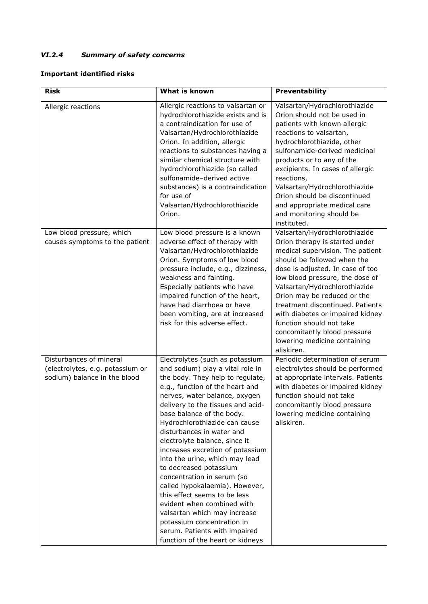## *VI.2.4 Summary of safety concerns*

### **Important identified risks**

| <b>Risk</b>                                                                                 | What is known                                                                                                                                                                                                                                                                                                                                                                                                                                                                                                                                                                                                                                                                                                 | Preventability                                                                                                                                                                                                                                                                                                                                                                                                                                              |
|---------------------------------------------------------------------------------------------|---------------------------------------------------------------------------------------------------------------------------------------------------------------------------------------------------------------------------------------------------------------------------------------------------------------------------------------------------------------------------------------------------------------------------------------------------------------------------------------------------------------------------------------------------------------------------------------------------------------------------------------------------------------------------------------------------------------|-------------------------------------------------------------------------------------------------------------------------------------------------------------------------------------------------------------------------------------------------------------------------------------------------------------------------------------------------------------------------------------------------------------------------------------------------------------|
| Allergic reactions                                                                          | Allergic reactions to valsartan or<br>hydrochlorothiazide exists and is<br>a contraindication for use of<br>Valsartan/Hydrochlorothiazide<br>Orion. In addition, allergic<br>reactions to substances having a<br>similar chemical structure with<br>hydrochlorothiazide (so called<br>sulfonamide-derived active<br>substances) is a contraindication<br>for use of<br>Valsartan/Hydrochlorothiazide<br>Orion.                                                                                                                                                                                                                                                                                                | Valsartan/Hydrochlorothiazide<br>Orion should not be used in<br>patients with known allergic<br>reactions to valsartan,<br>hydrochlorothiazide, other<br>sulfonamide-derived medicinal<br>products or to any of the<br>excipients. In cases of allergic<br>reactions,<br>Valsartan/Hydrochlorothiazide<br>Orion should be discontinued<br>and appropriate medical care<br>and monitoring should be<br>instituted.                                           |
| Low blood pressure, which<br>causes symptoms to the patient                                 | Low blood pressure is a known<br>adverse effect of therapy with<br>Valsartan/Hydrochlorothiazide<br>Orion. Symptoms of low blood<br>pressure include, e.g., dizziness,<br>weakness and fainting.<br>Especially patients who have<br>impaired function of the heart,<br>have had diarrhoea or have<br>been vomiting, are at increased<br>risk for this adverse effect.                                                                                                                                                                                                                                                                                                                                         | Valsartan/Hydrochlorothiazide<br>Orion therapy is started under<br>medical supervision. The patient<br>should be followed when the<br>dose is adjusted. In case of too<br>low blood pressure, the dose of<br>Valsartan/Hydrochlorothiazide<br>Orion may be reduced or the<br>treatment discontinued. Patients<br>with diabetes or impaired kidney<br>function should not take<br>concomitantly blood pressure<br>lowering medicine containing<br>aliskiren. |
| Disturbances of mineral<br>(electrolytes, e.g. potassium or<br>sodium) balance in the blood | Electrolytes (such as potassium<br>and sodium) play a vital role in<br>the body. They help to regulate,<br>e.g., function of the heart and<br>nerves, water balance, oxygen<br>delivery to the tissues and acid-<br>base balance of the body.<br>Hydrochlorothiazide can cause<br>disturbances in water and<br>electrolyte balance, since it<br>increases excretion of potassium<br>into the urine, which may lead<br>to decreased potassium<br>concentration in serum (so<br>called hypokalaemia). However,<br>this effect seems to be less<br>evident when combined with<br>valsartan which may increase<br>potassium concentration in<br>serum. Patients with impaired<br>function of the heart or kidneys | Periodic determination of serum<br>electrolytes should be performed<br>at appropriate intervals. Patients<br>with diabetes or impaired kidney<br>function should not take<br>concomitantly blood pressure<br>lowering medicine containing<br>aliskiren.                                                                                                                                                                                                     |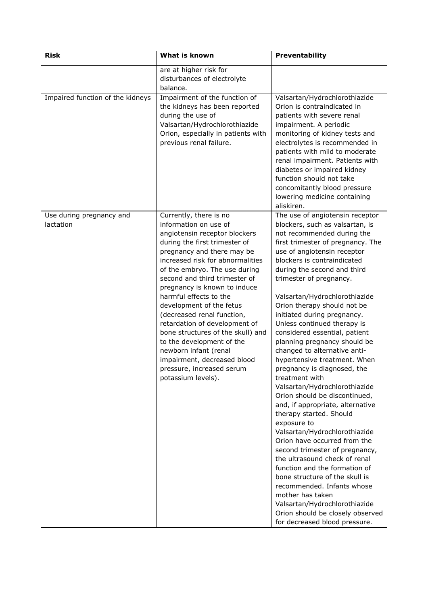| <b>Risk</b>                           | <b>What is known</b>                                                                                                                                                                                                                                                                                                                                                                                                                                                                                                                                                                    | Preventability                                                                                                                                                                                                                                                                                                                                                                                                                                                                                                                                                                                                                                                                                                                                                                                                                                                                                                                                                                                                                                                                               |
|---------------------------------------|-----------------------------------------------------------------------------------------------------------------------------------------------------------------------------------------------------------------------------------------------------------------------------------------------------------------------------------------------------------------------------------------------------------------------------------------------------------------------------------------------------------------------------------------------------------------------------------------|----------------------------------------------------------------------------------------------------------------------------------------------------------------------------------------------------------------------------------------------------------------------------------------------------------------------------------------------------------------------------------------------------------------------------------------------------------------------------------------------------------------------------------------------------------------------------------------------------------------------------------------------------------------------------------------------------------------------------------------------------------------------------------------------------------------------------------------------------------------------------------------------------------------------------------------------------------------------------------------------------------------------------------------------------------------------------------------------|
|                                       | are at higher risk for<br>disturbances of electrolyte<br>balance.                                                                                                                                                                                                                                                                                                                                                                                                                                                                                                                       |                                                                                                                                                                                                                                                                                                                                                                                                                                                                                                                                                                                                                                                                                                                                                                                                                                                                                                                                                                                                                                                                                              |
| Impaired function of the kidneys      | Impairment of the function of<br>the kidneys has been reported<br>during the use of<br>Valsartan/Hydrochlorothiazide<br>Orion, especially in patients with<br>previous renal failure.                                                                                                                                                                                                                                                                                                                                                                                                   | Valsartan/Hydrochlorothiazide<br>Orion is contraindicated in<br>patients with severe renal<br>impairment. A periodic<br>monitoring of kidney tests and<br>electrolytes is recommended in<br>patients with mild to moderate<br>renal impairment. Patients with<br>diabetes or impaired kidney<br>function should not take<br>concomitantly blood pressure<br>lowering medicine containing<br>aliskiren.                                                                                                                                                                                                                                                                                                                                                                                                                                                                                                                                                                                                                                                                                       |
| Use during pregnancy and<br>lactation | Currently, there is no<br>information on use of<br>angiotensin receptor blockers<br>during the first trimester of<br>pregnancy and there may be<br>increased risk for abnormalities<br>of the embryo. The use during<br>second and third trimester of<br>pregnancy is known to induce<br>harmful effects to the<br>development of the fetus<br>(decreased renal function,<br>retardation of development of<br>bone structures of the skull) and<br>to the development of the<br>newborn infant (renal<br>impairment, decreased blood<br>pressure, increased serum<br>potassium levels). | The use of angiotensin receptor<br>blockers, such as valsartan, is<br>not recommended during the<br>first trimester of pregnancy. The<br>use of angiotensin receptor<br>blockers is contraindicated<br>during the second and third<br>trimester of pregnancy.<br>Valsartan/Hydrochlorothiazide<br>Orion therapy should not be<br>initiated during pregnancy.<br>Unless continued therapy is<br>considered essential, patient<br>planning pregnancy should be<br>changed to alternative anti-<br>hypertensive treatment. When<br>pregnancy is diagnosed, the<br>treatment with<br>Valsartan/Hydrochlorothiazide<br>Orion should be discontinued,<br>and, if appropriate, alternative<br>therapy started. Should<br>exposure to<br>Valsartan/Hydrochlorothiazide<br>Orion have occurred from the<br>second trimester of pregnancy,<br>the ultrasound check of renal<br>function and the formation of<br>bone structure of the skull is<br>recommended. Infants whose<br>mother has taken<br>Valsartan/Hydrochlorothiazide<br>Orion should be closely observed<br>for decreased blood pressure. |